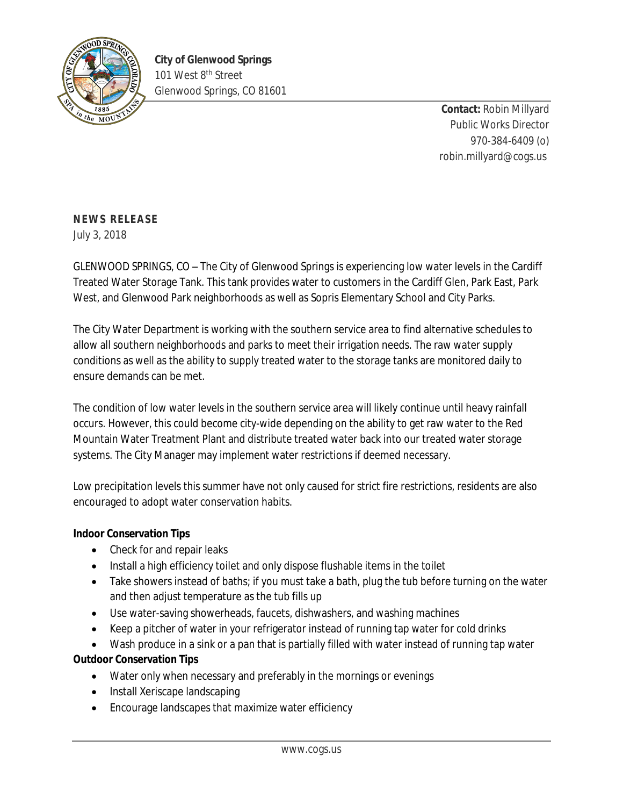

**Contact:** Robin Millyard Public Works Director 970-384-6409 (o) robin.millyard@cogs.us

## **NEWS RELEASE**

July 3, 2018

GLENWOOD SPRINGS, CO – The City of Glenwood Springs is experiencing low water levels in the Cardiff Treated Water Storage Tank. This tank provides water to customers in the Cardiff Glen, Park East, Park West, and Glenwood Park neighborhoods as well as Sopris Elementary School and City Parks.

The City Water Department is working with the southern service area to find alternative schedules to allow all southern neighborhoods and parks to meet their irrigation needs. The raw water supply conditions as well as the ability to supply treated water to the storage tanks are monitored daily to ensure demands can be met.

The condition of low water levels in the southern service area will likely continue until heavy rainfall occurs. However, this could become city-wide depending on the ability to get raw water to the Red Mountain Water Treatment Plant and distribute treated water back into our treated water storage systems. The City Manager may implement water restrictions if deemed necessary.

Low precipitation levels this summer have not only caused for strict fire restrictions, residents are also encouraged to adopt water conservation habits.

## **Indoor Conservation Tips**

- Check for and repair leaks
- Install a high efficiency toilet and only dispose flushable items in the toilet
- Take showers instead of baths; if you must take a bath, plug the tub before turning on the water and then adjust temperature as the tub fills up
- Use water-saving showerheads, faucets, dishwashers, and washing machines
- Keep a pitcher of water in your refrigerator instead of running tap water for cold drinks
- Wash produce in a sink or a pan that is partially filled with water instead of running tap water

## **Outdoor Conservation Tips**

- Water only when necessary and preferably in the mornings or evenings
- Install Xeriscape landscaping
- Encourage landscapes that maximize water efficiency